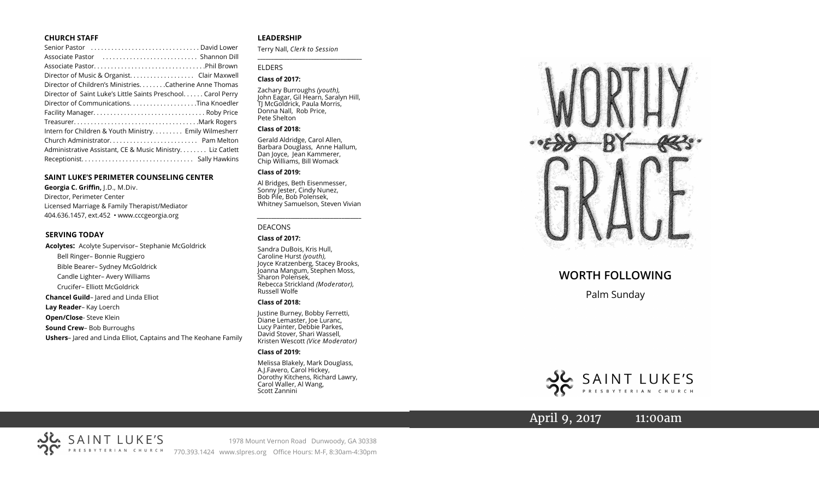### **CHURCH STAFF**

| Senior Pastor  David Lower                                   |
|--------------------------------------------------------------|
|                                                              |
|                                                              |
| Director of Music & Organist. Clair Maxwell                  |
| Director of Children's Ministries. Catherine Anne Thomas     |
| Director of Saint Luke's Little Saints Preschool Carol Perry |
|                                                              |
|                                                              |
|                                                              |
| Intern for Children & Youth Ministry Emily Wilmesherr        |
|                                                              |
| Administrative Assistant, CE & Music Ministry Liz Catlett    |
|                                                              |

### **SAINT LUKE'S PERIMETER COUNSELING CENTER**

**Georgia C. Griffin,** J.D., M.Div. Director, Perimeter Center Licensed Marriage & Family Therapist/Mediator 404.636.1457, ext.452 • www.cccgeorgia.org

### **SERVING TODAY**

**Acolytes:** Acolyte Supervisor– Stephanie McGoldrick Bell Ringer– Bonnie Ruggiero Bible Bearer– Sydney McGoldrick Candle Lighter– Avery Williams Crucifer– Elliott McGoldrick **Chancel Guild**– Jared and Linda Elliot **Lay Reader**– Kay Loerch **Open/Close**- Steve Klein **Sound Crew**– Bob Burroughs **Ushers**– Jared and Linda Elliot, Captains and The Keohane Family

### **LEADERSHIP**

Terry Nall, *Clerk to Session*  **\_\_\_\_\_\_\_\_\_\_\_\_\_\_\_\_\_\_\_\_\_\_\_\_\_\_\_\_\_\_\_\_\_\_\_\_\_\_\_**

### ELDERS

### **Class of 2017:**

Zachary Burroughs *(youth),*  John Eagar, Gil Hearn, Saralyn Hill, TJ McGoldrick, Paula Morris, Donna Nall, Rob Price, Pete Shelton

### **Class of 2018:**

Gerald Aldridge, Carol Allen, Barbara Douglass, Anne Hallum, Dan Joyce, Jean Kammerer, Chip Williams, Bill Womack

### **Class of 2019:**

Al Bridges, Beth Eisenmesser, Sonny Jester, Cindy Nunez, Bob Pile, Bob Polensek, Whitney Samuelson, Steven Vivian

*\_\_\_\_\_\_\_\_\_\_\_\_\_\_\_\_\_\_\_\_\_\_\_\_\_\_\_\_\_\_\_\_\_\_\_\_\_*

### DEACONS

### **Class of 2017:**

Sandra DuBois, Kris Hull, Caroline Hurst *(youth),* Joyce Kratzenberg, Stacey Brooks, Joanna Mangum, Stephen Moss, Sharon Polensek, Rebecca Strickland *(Moderator),*  Russell Wolfe

### **Class of 2018:**

Justine Burney, Bobby Ferretti, Diane Lemaster, Joe Luranc, Lucy Painter, Debbie Parkes, David Stover, Shari Wassell, Kristen Wescott *(Vice Moderator)*

### **Class of 2019:**

Melissa Blakely, Mark Douglass, A.J.Favero, Carol Hickey, Dorothy Kitchens, Richard Lawry, Carol Waller, Al Wang, Scott Zannini



# **WORTH FOLLOWING**

Palm Sunday



April 9, 2017 11:00am

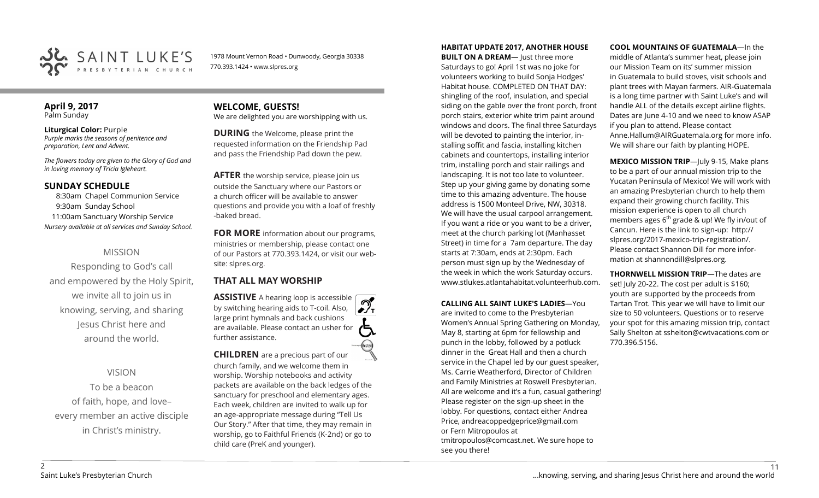

1978 Mount Vernon Road • Dunwoody, Georgia 30338 770.393.1424 • www.slpres.org

### **April 9, 2017**  Palm Sunday

**Liturgical Color:** Purple *Purple marks the seasons of penitence and preparation, Lent and Advent.*

*The flowers today are given to the Glory of God and in loving memory of Tricia Igleheart.*

# **SUNDAY SCHEDULE**

8:30am Chapel Communion Service 9:30am Sunday School 11:00am Sanctuary Worship Service *Nursery available at all services and Sunday School.*

# MISSION

Responding to God's call and empowered by the Holy Spirit, we invite all to join us in knowing, serving, and sharing Jesus Christ here and around the world.

VISION

To be a beacon of faith, hope, and love– every member an active disciple in Christ's ministry.

**WELCOME, GUESTS!**  We are delighted you are worshipping with us.

**DURING** the Welcome, please print the requested information on the Friendship Pad and pass the Friendship Pad down the pew.

**AFTER** the worship service, please join us outside the Sanctuary where our Pastors or a church officer will be available to answer questions and provide you with a loaf of freshly -baked bread.

**FOR MORE** information about our programs, ministries or membership, please contact one of our Pastors at 770.393.1424, or visit our website: slpres.org.

# **THAT ALL MAY WORSHIP**

**ASSISTIVE** A hearing loop is accessible by switching hearing aids to T-coil. Also,  $\frac{1}{\sqrt{1}}$ large print hymnals and back cushions are available. Please contact an usher for further assistance.

**CHILDREN** are a precious part of our church family, and we welcome them in worship. Worship notebooks and activity packets are available on the back ledges of the sanctuary for preschool and elementary ages. Each week, children are invited to walk up for an age-appropriate message during "Tell Us Our Story." After that time, they may remain in worship, go to Faithful Friends (K-2nd) or go to child care (PreK and younger).

### **HABITAT UPDATE 2017, ANOTHER HOUSE**

**BUILT ON A DREAM-** Just three more Saturdays to go! April 1st was no joke for volunteers working to build Sonja Hodges' Habitat house. COMPLETED ON THAT DAY: shingling of the roof, insulation, and special siding on the gable over the front porch, front porch stairs, exterior white trim paint around windows and doors. The final three Saturdays will be devoted to painting the interior, installing soffit and fascia, installing kitchen cabinets and countertops, installing interior trim, installing porch and stair railings and landscaping. It is not too late to volunteer. Step up your giving game by donating some time to this amazing adventure. The house address is 1500 Monteel Drive, NW, 30318. We will have the usual carpool arrangement. If you want a ride or you want to be a driver, meet at the church parking lot (Manhasset Street) in time for a 7am departure. The day starts at 7:30am, ends at 2:30pm. Each person must sign up by the Wednesday of the week in which the work Saturday occurs. www.stlukes.atlantahabitat.volunteerhub.com.

**CALLING ALL SAINT LUKE'S LADIES**—You are invited to come to the Presbyterian Women's Annual Spring Gathering on Monday, May 8, starting at 6pm for fellowship and punch in the lobby, followed by a potluck dinner in the Great Hall and then a church service in the Chapel led by our guest speaker, Ms. Carrie Weatherford, Director of Children and Family Ministries at Roswell Presbyterian. All are welcome and it's a fun, casual gathering! Please register on the sign-up sheet in the lobby. For questions, contact either Andrea Price, [andreacoppedgeprice@gmail.com](mailto:andreacoppedgeprice@gmail.com)  or Fern Mitropoulos at [tmitropoulos@comcast.net.](mailto:tmitropoulos@comcast.net) We sure hope to see you there!

**COOL MOUNTAINS OF GUATEMALA**—In the

middle of Atlanta's summer heat, please join our Mission Team on its' summer mission in Guatemala to build stoves, visit schools and plant trees with Mayan farmers. AIR-Guatemala is a long time partner with Saint Luke's and will handle ALL of the details except airline flights. Dates are June 4-10 and we need to know ASAP if you plan to attend. Please contact Anne.Hallum@AIRGuatemala.org for more info. We will share our faith by planting HOPE.

**MEXICO MISSION TRIP**—July 9-15, Make plans to be a part of our annual mission trip to the Yucatan Peninsula of Mexico! We will work with an amazing Presbyterian church to help them expand their growing church facility. This mission experience is open to all church members ages  $6<sup>th</sup>$  grade & up! We fly in/out of Cancun. Here is the link to sign-up: [http://](http://slpres.org/2017-mexico-trip-registration/) [slpres.org/2017](http://slpres.org/2017-mexico-trip-registration/)-mexico-trip-registration/. Please contact Shannon Dill for more information at shannondill@slpres.org.

**THORNWELL MISSION TRIP**—The dates are set! July 20-22. The cost per adult is \$160; youth are supported by the proceeds from Tartan Trot. This year we will have to limit our size to 50 volunteers. Questions or to reserve your spot for this amazing mission trip, contact Sally Shelton at sshelton@cwtvacations.com or 770.396.5156.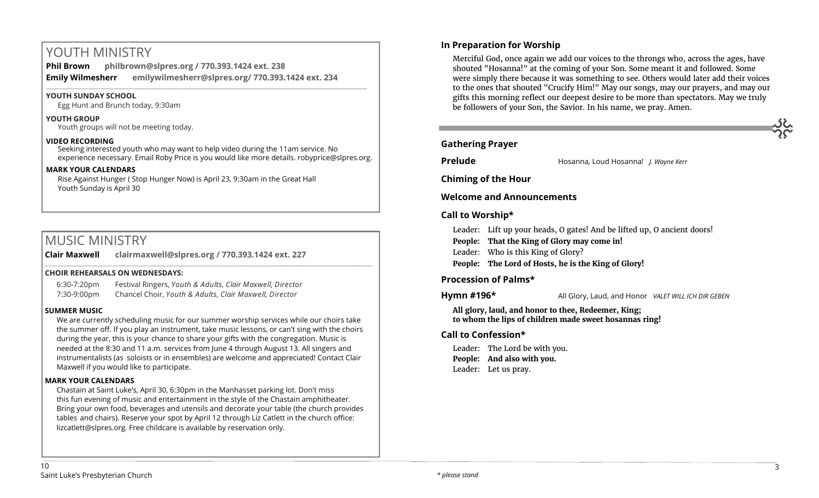# YOUTH MINISTRY

**Phil Brown philbrown@slpres.org / 770.393.1424 ext. 238 Emily Wilmesherr emilywilmesherr@slpres.org/ 770.393.1424 ext. 234**   $\_$  ,  $\_$  ,  $\_$  ,  $\_$  ,  $\_$  ,  $\_$  ,  $\_$  ,  $\_$  ,  $\_$  ,  $\_$  ,  $\_$  ,  $\_$  ,  $\_$  ,  $\_$  ,  $\_$  ,  $\_$  ,  $\_$  ,  $\_$  ,  $\_$  ,  $\_$  ,  $\_$  ,  $\_$  ,  $\_$  ,  $\_$  ,  $\_$  ,  $\_$  ,  $\_$  ,  $\_$  ,  $\_$  ,  $\_$  ,  $\_$  ,  $\_$  ,  $\_$  ,  $\_$  ,  $\_$  ,  $\_$  ,  $\_$  ,

## **YOUTH SUNDAY SCHOOL**

Egg Hunt and Brunch today, 9:30am

**YOUTH GROUP**  Youth groups will not be meeting today.

### **VIDEO RECORDING**

Seeking interested youth who may want to help video during the 11am service. No experience necessary. Email Roby Price is you would like more details. robyprice@slpres.org.

### **MARK YOUR CALENDARS**

Rise Against Hunger ( Stop Hunger Now) is April 23, 9:30am in the Great Hall Youth Sunday is April 30

# MUSIC MINISTRY

**Clair Maxwell clairmaxwell@slpres.org / 770.393.1424 ext. 227** 

### **CHOIR REHEARSALS ON WEDNESDAYS:**

6:30-7:20pm Festival Ringers, *Youth & Adults, Clair Maxwell, Director* 7:30-9:00pm Chancel Choir, *Youth & Adults, Clair Maxwell, Director* 

### **SUMMER MUSIC**

We are currently scheduling music for our summer worship services while our choirs take the summer off. If you play an instrument, take music lessons, or can't sing with the choirs during the year, this is your chance to share your gifts with the congregation. Music is needed at the 8:30 and 11 a.m. services from June 4 through August 13. All singers and instrumentalists (as soloists or in ensembles) are welcome and appreciated! Contact Clair Maxwell if you would like to participate.

\_\_\_\_\_\_\_\_\_\_\_\_\_\_\_\_\_\_\_\_\_\_\_\_\_\_\_\_\_\_\_\_\_\_\_\_\_\_\_\_\_\_\_\_\_\_\_\_\_\_\_\_\_\_\_\_\_\_\_\_\_\_\_\_\_\_\_\_\_\_\_\_\_\_\_\_\_\_\_\_\_\_\_\_\_\_\_\_\_\_\_\_\_\_\_\_\_\_\_\_

## **MARK YOUR CALENDARS**

Chastain at Saint Luke's, April 30, 6:30pm in the Manhasset parking lot. Don't miss this fun evening of music and entertainment in the style of the Chastain amphitheater. Bring your own food, beverages and utensils and decorate your table (the church provides tables and chairs). Reserve your spot by April 12 through Liz Catlett in the church office: [lizcatlett@slpres.org.](mailto:lizcatlett@slpres.org) Free childcare is available by reservation only.

# **In Preparation for Worship**

Merciful God, once again we add our voices to the throngs who, across the ages, have shouted "Hosanna!" at the coming of your Son. Some meant it and followed. Some were simply there because it was something to see. Others would later add their voices to the ones that shouted "Crucify Him!" May our songs, may our prayers, and may our gifts this morning reflect our deepest desire to be more than spectators. May we truly be followers of your Son, the Savior. In his name, we pray. Amen.

# **Gathering Prayer**

**Prelude Hosanna, Loud Hosanna!** *J. Wayne Kerr* 

**Chiming of the Hour**

**Welcome and Announcements** 

## **Call to Worship\***

- Leader: Lift up your heads, O gates! And be lifted up, O ancient doors!
- **People: That the King of Glory may come in!**
- Leader: Who is this King of Glory?
- **People: The Lord of Hosts, he is the King of Glory!**

# **Procession of Palms\***

**Hymn #196\*** All Glory, Laud, and Honor *VALET WILL ICH DIR GEBEN*

**All glory, laud, and honor to thee, Redeemer, King; to whom the lips of children made sweet hosannas ring!**

## **Call to Confession\***

Leader: The Lord be with you. **People: And also with you.** Leader: Let us pray.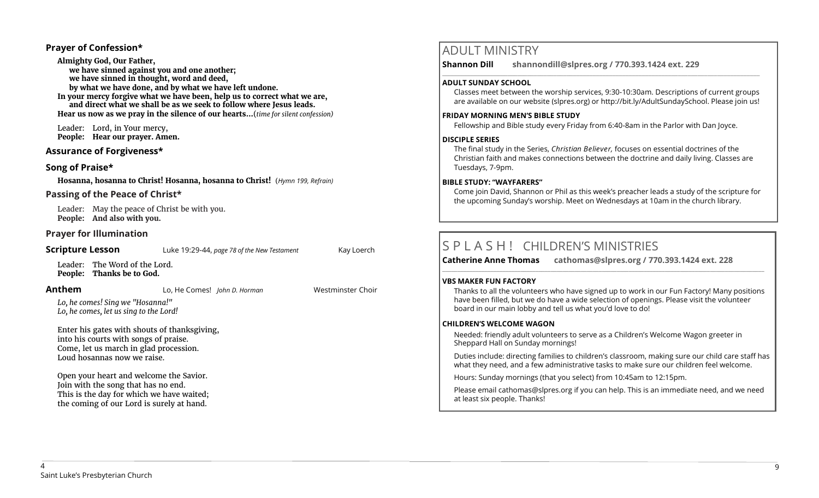# **Prayer of Confession\***

**Almighty God, Our Father, we have sinned against you and one another; we have sinned in thought, word and deed, by what we have done, and by what we have left undone. In your mercy forgive what we have been, help us to correct what we are, and direct what we shall be as we seek to follow where Jesus leads. Hear us now as we pray in the silence of our hearts…**(*time for silent confession)*

Leader: Lord, in Your mercy, **People: Hear our prayer. Amen.**

# **Assurance of Forgiveness\***

# **Song of Praise\***

**Hosanna, hosanna to Christ! Hosanna, hosanna to Christ!** (*Hymn 199, Refrain)*

# **Passing of the Peace of Christ\***

Leader: May the peace of Christ be with you. **People: And also with you.**

# **Prayer for Illumination**

| <b>Scripture Lesson</b>                                                                                                                                                                                                                      | Luke 19:29-44, page 78 of the New Testament | Kay Loerch        |
|----------------------------------------------------------------------------------------------------------------------------------------------------------------------------------------------------------------------------------------------|---------------------------------------------|-------------------|
| Leader: The Word of the Lord.<br>People: Thanks be to God.                                                                                                                                                                                   |                                             |                   |
| Anthem                                                                                                                                                                                                                                       | Lo, He Comes! John D. Horman                | Westminster Choir |
| Lo, he comes! Sing we "Hosanna!"<br>Lo, he comes, let us sing to the Lord!<br>Enter his gates with shouts of thanksgiving,<br>into his courts with songs of praise.<br>Come, let us march in glad procession.<br>Loud hosannas now we raise. |                                             |                   |
| Open your heart and welcome the Savior.<br>Join with the song that has no end.<br>This is the day for which we have waited;<br>the coming of our Lord is surely at hand.                                                                     |                                             |                   |

# ADULT MINISTRY

**Shannon Dill shannondill@slpres.org / 770.393.1424 ext. 229** 

### **ADULT SUNDAY SCHOOL**

Classes meet between the worship services, 9:30-10:30am. Descriptions of current groups are available on our website (slpres.org) or http://bit.ly/AdultSundaySchool. Please join us!

 $\_$  ,  $\_$  ,  $\_$  ,  $\_$  ,  $\_$  ,  $\_$  ,  $\_$  ,  $\_$  ,  $\_$  ,  $\_$  ,  $\_$  ,  $\_$  ,  $\_$  ,  $\_$  ,  $\_$  ,  $\_$  ,  $\_$  ,  $\_$  ,  $\_$ 

### **FRIDAY MORNING MEN'S BIBLE STUDY**

Fellowship and Bible study every Friday from 6:40-8am in the Parlor with Dan Joyce.

## **DISCIPLE SERIES**

The final study in the Series, *Christian Believer,* focuses on essential doctrines of the Christian faith and makes connections between the doctrine and daily living. Classes are Tuesdays, 7-9pm.

### **BIBLE STUDY: "WAYFARERS"**

Come join David, Shannon or Phil as this week's preacher leads a study of the scripture for the upcoming Sunday's worship. Meet on Wednesdays at 10am in the church library.

# S P L A S H ! CHILDREN'S MINISTRIES

**Catherine Anne Thomas cathomas@slpres.org / 770.393.1424 ext. 228** 

### **VBS MAKER FUN FACTORY**

Thanks to all the volunteers who have signed up to work in our Fun Factory! Many positions have been filled, but we do have a wide selection of openings. Please visit the volunteer board in our main lobby and tell us what you'd love to do!

**\_\_\_\_\_\_\_\_\_\_\_\_\_\_\_\_\_\_\_\_\_\_\_\_\_\_\_\_\_\_\_\_\_\_\_\_\_\_\_\_\_\_\_\_\_\_\_\_\_\_\_\_\_\_\_\_\_\_\_\_\_\_\_\_\_\_\_\_\_\_\_\_\_\_\_\_\_\_\_\_\_\_\_\_\_\_\_\_\_\_\_\_\_\_\_\_\_\_\_\_\_\_\_\_\_\_\_** 

## **CHILDREN'S WELCOME WAGON**

Needed: friendly adult volunteers to serve as a Children's Welcome Wagon greeter in Sheppard Hall on Sunday mornings!

Duties include: directing families to children's classroom, making sure our child care staff has what they need, and a few administrative tasks to make sure our children feel welcome.

Hours: Sunday mornings (that you select) from 10:45am to 12:15pm.

Please email [cathomas@slpres.org](mailto:cathomas@slpres.org) if you can help. This is an immediate need, and we need at least six people. Thanks!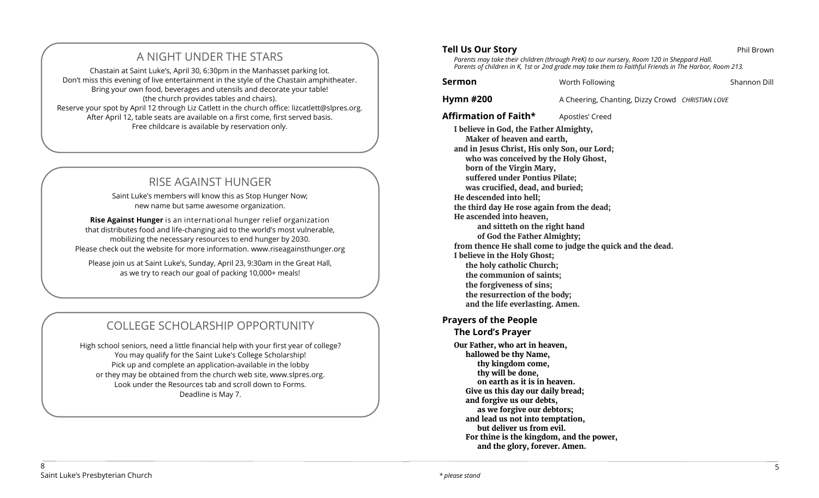# A NIGHT UNDER THE STARS

Chastain at Saint Luke's, April 30, 6:30pm in the Manhasset parking lot. Don't miss this evening of live entertainment in the style of the Chastain amphitheater. Bring your own food, beverages and utensils and decorate your table! (the church provides tables and chairs). Reserve your spot by April 12 through Liz Catlett in the church office: [lizcatlett@slpres.org.](mailto:lizcatlett@slpres.org) After April 12, table seats are available on a first come, first served basis. Free childcare is available by reservation only.

# RISE AGAINST HUNGER

Saint Luke's members will know this as Stop Hunger Now; new name but same awesome organization.

**Rise Against Hunger** is an international hunger relief organization that distributes food and life-changing aid to the world's most vulnerable, mobilizing the necessary resources to end hunger by 2030. Please check out the website for more information. www.riseagainsthunger.org

Please join us at Saint Luke's, Sunday, April 23, 9:30am in the Great Hall, as we try to reach our goal of packing 10,000+ meals!

# COLLEGE SCHOLARSHIP OPPORTUNITY

High school seniors, need a little financial help with your first year of college? You may qualify for the Saint Luke's College Scholarship! Pick up and complete an application-available in the lobby or they may be obtained from the church web site, www.slpres.org. Look under the Resources tab and scroll down to Forms. Deadline is May 7.

*Parents may take their children (through PreK) to our nursery, Room 120 in Sheppard Hall. Parents of children in K, 1st or 2nd grade may take them to Faithful Friends in The Harbor, Room 213.*

**Sermon** Worth Following **Shannon Dill** Shannon Dill

**Hymn #200** A Cheering, Chanting, Dizzy Crowd *CHRISTIAN LOVE* 

Affirmation of Faith\* Apostles' Creed

**I believe in God, the Father Almighty, Maker of heaven and earth, and in Jesus Christ, His only Son, our Lord; who was conceived by the Holy Ghost, born of the Virgin Mary, suffered under Pontius Pilate; was crucified, dead, and buried; He descended into hell; the third day He rose again from the dead; He ascended into heaven, and sitteth on the right hand of God the Father Almighty; from thence He shall come to judge the quick and the dead. I believe in the Holy Ghost; the holy catholic Church; the communion of saints; the forgiveness of sins; the resurrection of the body; and the life everlasting. Amen.**

# **Prayers of the People**

**The Lord's Prayer** 

**Our Father, who art in heaven, hallowed be thy Name, thy kingdom come, thy will be done, on earth as it is in heaven. Give us this day our daily bread; and forgive us our debts, as we forgive our debtors; and lead us not into temptation, but deliver us from evil. For thine is the kingdom, and the power, and the glory, forever. Amen.**